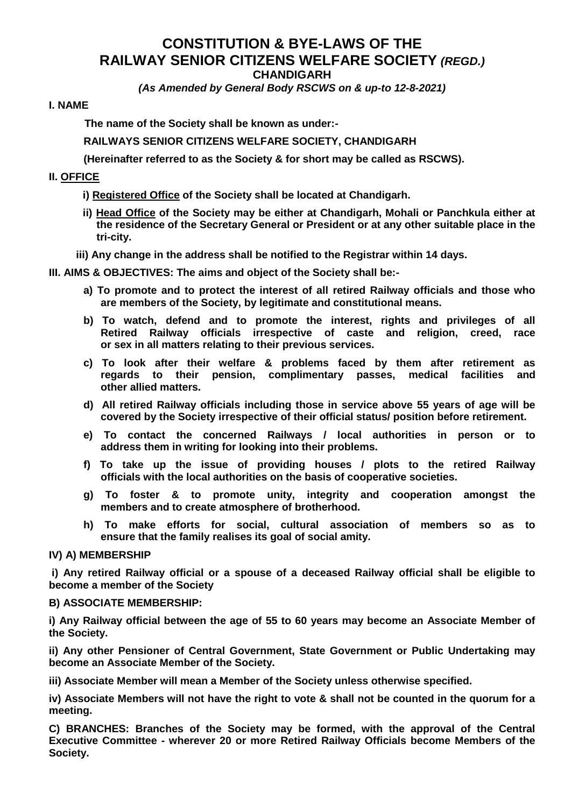# **CONSTITUTION & BYE-LAWS OF THE RAILWAY SENIOR CITIZENS WELFARE SOCIETY** *(REGD.)* **CHANDIGARH**

*(As Amended by General Body RSCWS on & up-to 12-8-2021)*

### **I. NAME**

**The name of the Society shall be known as under:-**

**RAILWAYS SENIOR CITIZENS WELFARE SOCIETY, CHANDIGARH** 

**(Hereinafter referred to as the Society & for short may be called as RSCWS).**

# **II. OFFICE**

**i) Registered Office of the Society shall be located at Chandigarh.** 

- **ii) Head Office of the Society may be either at Chandigarh, Mohali or Panchkula either at the residence of the Secretary General or President or at any other suitable place in the tri-city.**
- **iii) Any change in the address shall be notified to the Registrar within 14 days.**

#### **III. AIMS & OBJECTIVES: The aims and object of the Society shall be:-**

- **a) To promote and to protect the interest of all retired Railway officials and those who are members of the Society, by legitimate and constitutional means.**
- **b) To watch, defend and to promote the interest, rights and privileges of all Retired Railway officials irrespective of caste and religion, creed, race or sex in all matters relating to their previous services.**
- **c) To look after their welfare & problems faced by them after retirement as regards to their pension, complimentary passes, medical facilities and other allied matters.**
- **d) All retired Railway officials including those in service above 55 years of age will be covered by the Society irrespective of their official status/ position before retirement.**
- **e) To contact the concerned Railways / local authorities in person or to address them in writing for looking into their problems.**
- **f) To take up the issue of providing houses / plots to the retired Railway officials with the local authorities on the basis of cooperative societies.**
- **g) To foster & to promote unity, integrity and cooperation amongst the members and to create atmosphere of brotherhood.**
- **h) To make efforts for social, cultural association of members so as to ensure that the family realises its goal of social amity.**

**IV) A) MEMBERSHIP**

**i) Any retired Railway official or a spouse of a deceased Railway official shall be eligible to become a member of the Society** 

#### **B) ASSOCIATE MEMBERSHIP:**

**i) Any Railway official between the age of 55 to 60 years may become an Associate Member of the Society.**

**ii) Any other Pensioner of Central Government, State Government or Public Undertaking may become an Associate Member of the Society.**

**iii) Associate Member will mean a Member of the Society unless otherwise specified.**

**iv) Associate Members will not have the right to vote & shall not be counted in the quorum for a meeting.**

**C) BRANCHES: Branches of the Society may be formed, with the approval of the Central Executive Committee - wherever 20 or more Retired Railway Officials become Members of the Society.**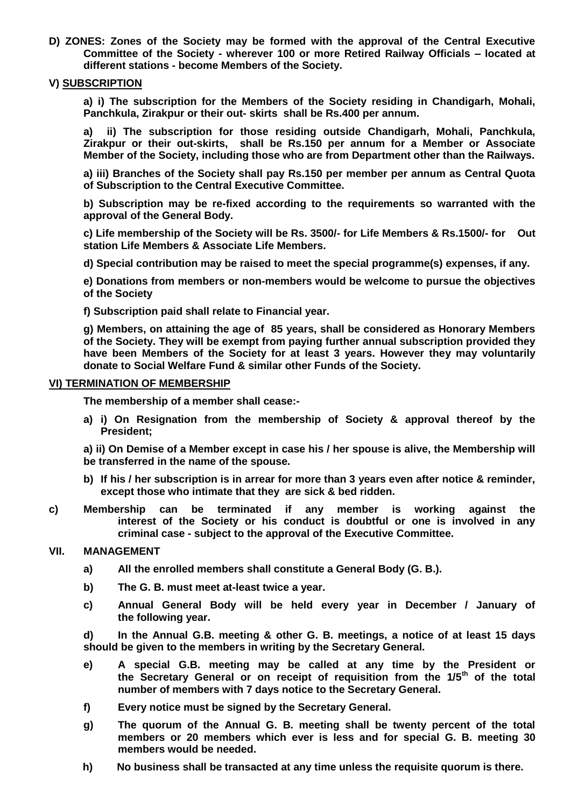**D) ZONES: Zones of the Society may be formed with the approval of the Central Executive Committee of the Society - wherever 100 or more Retired Railway Officials – located at different stations - become Members of the Society.**

### **V) SUBSCRIPTION**

**a) i) The subscription for the Members of the Society residing in Chandigarh, Mohali, Panchkula, Zirakpur or their out- skirts shall be Rs.400 per annum.**

**a) ii) The subscription for those residing outside Chandigarh, Mohali, Panchkula, Zirakpur or their out-skirts, shall be Rs.150 per annum for a Member or Associate Member of the Society, including those who are from Department other than the Railways.** 

**a) iii) Branches of the Society shall pay Rs.150 per member per annum as Central Quota of Subscription to the Central Executive Committee.**

**b) Subscription may be re-fixed according to the requirements so warranted with the approval of the General Body.** 

**c) Life membership of the Society will be Rs. 3500/- for Life Members & Rs.1500/- for Out station Life Members & Associate Life Members.**

**d) Special contribution may be raised to meet the special programme(s) expenses, if any.** 

**e) Donations from members or non-members would be welcome to pursue the objectives of the Society**

**f) Subscription paid shall relate to Financial year.**

**g) Members, on attaining the age of 85 years, shall be considered as Honorary Members of the Society. They will be exempt from paying further annual subscription provided they have been Members of the Society for at least 3 years. However they may voluntarily donate to Social Welfare Fund & similar other Funds of the Society.**

#### **VI) TERMINATION OF MEMBERSHIP**

**The membership of a member shall cease:-**

**a) i) On Resignation from the membership of Society & approval thereof by the President;**

**a) ii) On Demise of a Member except in case his / her spouse is alive, the Membership will be transferred in the name of the spouse.**

- **b) If his / her subscription is in arrear for more than 3 years even after notice & reminder, except those who intimate that they are sick & bed ridden.**
- **c) Membership can be terminated if any member is working against the interest of the Society or his conduct is doubtful or one is involved in any criminal case - subject to the approval of the Executive Committee.**

#### **VII. MANAGEMENT**

- **a) All the enrolled members shall constitute a General Body (G. B.).**
- **b) The G. B. must meet at-least twice a year.**
- **c) Annual General Body will be held every year in December / January of the following year.**

**d) In the Annual G.B. meeting & other G. B. meetings, a notice of at least 15 days should be given to the members in writing by the Secretary General.** 

- **e) A special G.B. meeting may be called at any time by the President or the Secretary General or on receipt of requisition from the 1/5th of the total number of members with 7 days notice to the Secretary General.**
- **f) Every notice must be signed by the Secretary General.**
- **g) The quorum of the Annual G. B. meeting shall be twenty percent of the total members or 20 members which ever is less and for special G. B. meeting 30 members would be needed.**
- **h) No business shall be transacted at any time unless the requisite quorum is there.**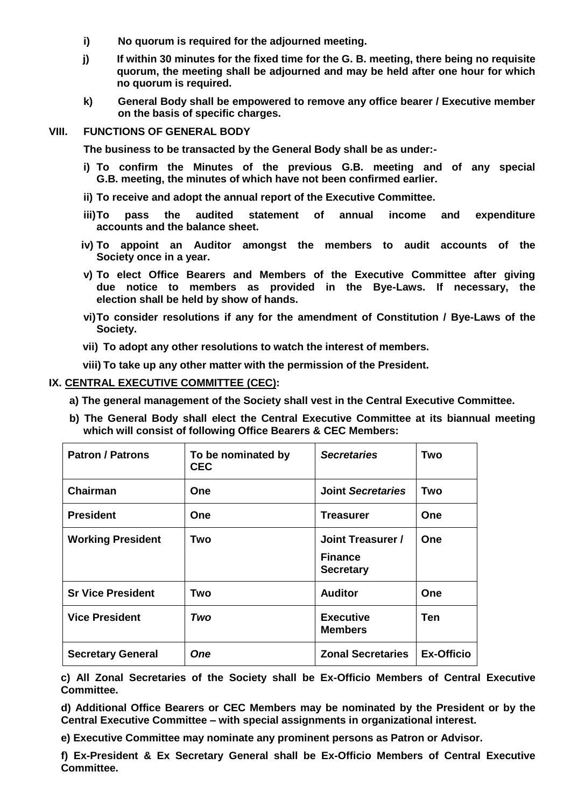- **i) No quorum is required for the adjourned meeting.**
- **j) If within 30 minutes for the fixed time for the G. B. meeting, there being no requisite quorum, the meeting shall be adjourned and may be held after one hour for which no quorum is required.**
- **k) General Body shall be empowered to remove any office bearer / Executive member on the basis of specific charges.**

### **VIII. FUNCTIONS OF GENERAL BODY**

**The business to be transacted by the General Body shall be as under:-**

- **i) To confirm the Minutes of the previous G.B. meeting and of any special G.B. meeting, the minutes of which have not been confirmed earlier.**
- **ii) To receive and adopt the annual report of the Executive Committee.**
- **iii)To pass the audited statement of annual income and expenditure accounts and the balance sheet.**
- **iv) To appoint an Auditor amongst the members to audit accounts of the Society once in a year.**
- **v) To elect Office Bearers and Members of the Executive Committee after giving due notice to members as provided in the Bye-Laws. If necessary, the election shall be held by show of hands.**
- **vi)To consider resolutions if any for the amendment of Constitution / Bye-Laws of the Society.**
- **vii) To adopt any other resolutions to watch the interest of members.**
- **viii) To take up any other matter with the permission of the President.**

#### **IX. CENTRAL EXECUTIVE COMMITTEE (CEC):**

- **a) The general management of the Society shall vest in the Central Executive Committee.**
- **b) The General Body shall elect the Central Executive Committee at its biannual meeting which will consist of following Office Bearers & CEC Members:**

| <b>Patron / Patrons</b>  | To be nominated by<br><b>CEC</b> | <b>Secretaries</b>                                      | Two               |
|--------------------------|----------------------------------|---------------------------------------------------------|-------------------|
| Chairman                 | One                              | <b>Joint Secretaries</b>                                | Two               |
| <b>President</b>         | One                              | <b>Treasurer</b>                                        | <b>One</b>        |
| <b>Working President</b> | Two                              | Joint Treasurer /<br><b>Finance</b><br><b>Secretary</b> | <b>One</b>        |
| <b>Sr Vice President</b> | Two                              | <b>Auditor</b>                                          | <b>One</b>        |
| <b>Vice President</b>    | Two                              | <b>Executive</b><br><b>Members</b>                      | Ten               |
| <b>Secretary General</b> | <b>One</b>                       | <b>Zonal Secretaries</b>                                | <b>Ex-Officio</b> |

**c) All Zonal Secretaries of the Society shall be Ex-Officio Members of Central Executive Committee.**

**d) Additional Office Bearers or CEC Members may be nominated by the President or by the Central Executive Committee – with special assignments in organizational interest.**

**e) Executive Committee may nominate any prominent persons as Patron or Advisor.**

**f) Ex-President & Ex Secretary General shall be Ex-Officio Members of Central Executive Committee.**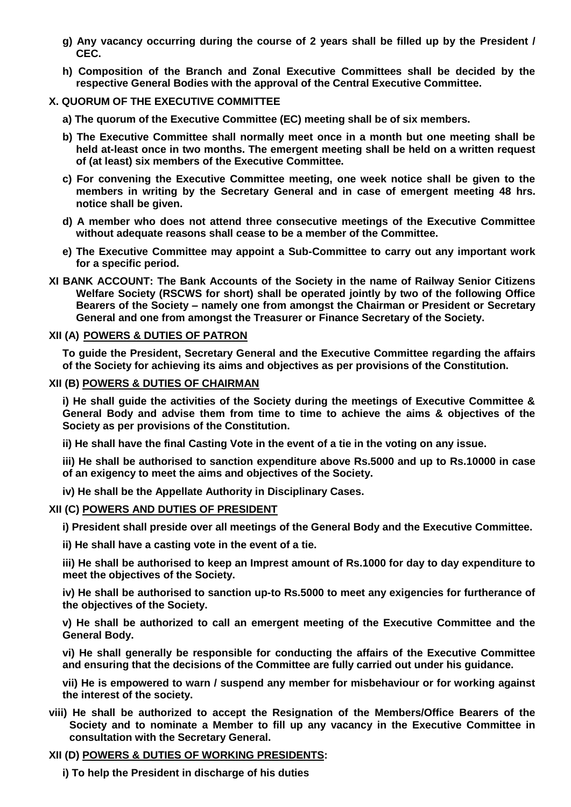- **g) Any vacancy occurring during the course of 2 years shall be filled up by the President / CEC.**
- **h) Composition of the Branch and Zonal Executive Committees shall be decided by the respective General Bodies with the approval of the Central Executive Committee.**

# **X. QUORUM OF THE EXECUTIVE COMMITTEE**

- **a) The quorum of the Executive Committee (EC) meeting shall be of six members.**
- **b) The Executive Committee shall normally meet once in a month but one meeting shall be held at-least once in two months. The emergent meeting shall be held on a written request of (at least) six members of the Executive Committee.**
- **c) For convening the Executive Committee meeting, one week notice shall be given to the members in writing by the Secretary General and in case of emergent meeting 48 hrs. notice shall be given.**
- **d) A member who does not attend three consecutive meetings of the Executive Committee without adequate reasons shall cease to be a member of the Committee.**
- **e) The Executive Committee may appoint a Sub-Committee to carry out any important work for a specific period.**
- **XI BANK ACCOUNT: The Bank Accounts of the Society in the name of Railway Senior Citizens Welfare Society (RSCWS for short) shall be operated jointly by two of the following Office Bearers of the Society – namely one from amongst the Chairman or President or Secretary General and one from amongst the Treasurer or Finance Secretary of the Society.**

### **XII (A) POWERS & DUTIES OF PATRON**

**To guide the President, Secretary General and the Executive Committee regarding the affairs of the Society for achieving its aims and objectives as per provisions of the Constitution.** 

#### **XII (B) POWERS & DUTIES OF CHAIRMAN**

**i) He shall guide the activities of the Society during the meetings of Executive Committee & General Body and advise them from time to time to achieve the aims & objectives of the Society as per provisions of the Constitution.**

**ii) He shall have the final Casting Vote in the event of a tie in the voting on any issue.**

**iii) He shall be authorised to sanction expenditure above Rs.5000 and up to Rs.10000 in case of an exigency to meet the aims and objectives of the Society.**

**iv) He shall be the Appellate Authority in Disciplinary Cases.**

# **XII (C) POWERS AND DUTIES OF PRESIDENT**

**i) President shall preside over all meetings of the General Body and the Executive Committee.** 

**ii) He shall have a casting vote in the event of a tie.** 

**iii) He shall be authorised to keep an Imprest amount of Rs.1000 for day to day expenditure to meet the objectives of the Society.** 

**iv) He shall be authorised to sanction up-to Rs.5000 to meet any exigencies for furtherance of the objectives of the Society.** 

**v) He shall be authorized to call an emergent meeting of the Executive Committee and the General Body.** 

**vi) He shall generally be responsible for conducting the affairs of the Executive Committee and ensuring that the decisions of the Committee are fully carried out under his guidance.** 

**vii) He is empowered to warn / suspend any member for misbehaviour or for working against the interest of the society.**

**viii) He shall be authorized to accept the Resignation of the Members/Office Bearers of the Society and to nominate a Member to fill up any vacancy in the Executive Committee in consultation with the Secretary General.**

# **XII (D) POWERS & DUTIES OF WORKING PRESIDENTS:**

**i) To help the President in discharge of his duties**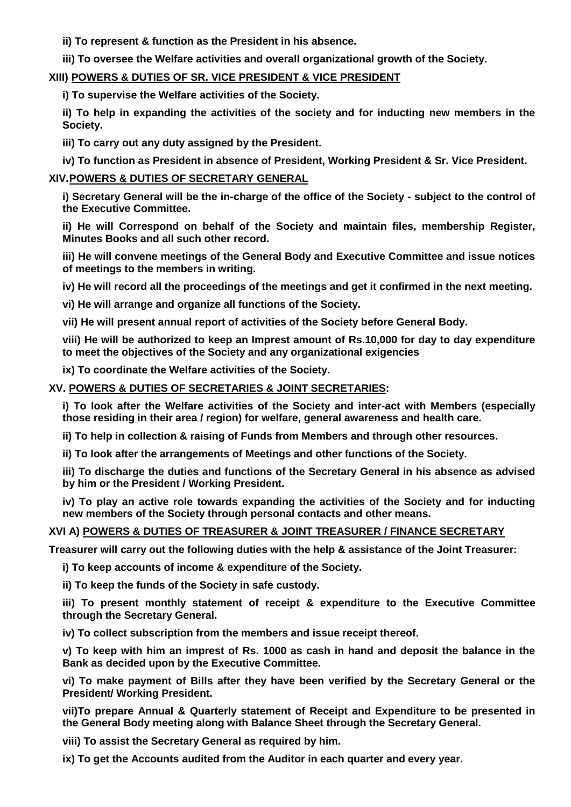**ii) To represent & function as the President in his absence.**

**iii) To oversee the Welfare activities and overall organizational growth of the Society.**

# **XIII) POWERS & DUTIES OF SR. VICE PRESIDENT & VICE PRESIDENT**

**i) To supervise the Welfare activities of the Society.**

**ii) To help in expanding the activities of the society and for inducting new members in the Society.**

**iii) To carry out any duty assigned by the President.** 

**iv) To function as President in absence of President, Working President & Sr. Vice President.** 

# **XIV.POWERS & DUTIES OF SECRETARY GENERAL**

**i) Secretary General will be the in-charge of the office of the Society - subject to the control of the Executive Committee.** 

**ii) He will Correspond on behalf of the Society and maintain files, membership Register, Minutes Books and all such other record.** 

**iii) He will convene meetings of the General Body and Executive Committee and issue notices of meetings to the members in writing.** 

**iv) He will record all the proceedings of the meetings and get it confirmed in the next meeting.** 

**vi) He will arrange and organize all functions of the Society.** 

**vii) He will present annual report of activities of the Society before General Body.** 

**viii) He will be authorized to keep an Imprest amount of Rs.10,000 for day to day expenditure to meet the objectives of the Society and any organizational exigencies**

**ix) To coordinate the Welfare activities of the Society.**

# **XV. POWERS & DUTIES OF SECRETARIES & JOINT SECRETARIES:**

**i) To look after the Welfare activities of the Society and inter-act with Members (especially those residing in their area / region) for welfare, general awareness and health care.**

**ii) To help in collection & raising of Funds from Members and through other resources.**

**ii) To look after the arrangements of Meetings and other functions of the Society.** 

**iii) To discharge the duties and functions of the Secretary General in his absence as advised by him or the President / Working President.**

**iv) To play an active role towards expanding the activities of the Society and for inducting new members of the Society through personal contacts and other means.** 

# **XVI A) POWERS & DUTIES OF TREASURER & JOINT TREASURER / FINANCE SECRETARY**

**Treasurer will carry out the following duties with the help & assistance of the Joint Treasurer:**

**i) To keep accounts of income & expenditure of the Society.**

**ii) To keep the funds of the Society in safe custody.** 

**iii) To present monthly statement of receipt & expenditure to the Executive Committee through the Secretary General.** 

**iv) To collect subscription from the members and issue receipt thereof.** 

**v) To keep with him an imprest of Rs. 1000 as cash in hand and deposit the balance in the Bank as decided upon by the Executive Committee.** 

**vi) To make payment of Bills after they have been verified by the Secretary General or the President/ Working President.** 

**vii)To prepare Annual & Quarterly statement of Receipt and Expenditure to be presented in the General Body meeting along with Balance Sheet through the Secretary General.** 

**viii) To assist the Secretary General as required by him.** 

**ix) To get the Accounts audited from the Auditor in each quarter and every year.**